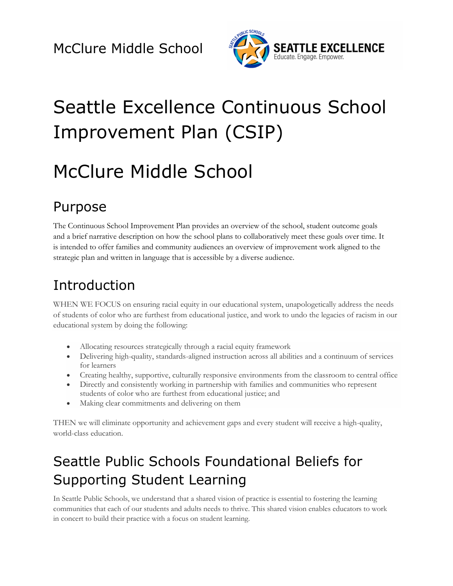

# Seattle Excellence Continuous School Improvement Plan (CSIP)

# McClure Middle School

# Purpose

The Continuous School Improvement Plan provides an overview of the school, student outcome goals and a brief narrative description on how the school plans to collaboratively meet these goals over time. It is intended to offer families and community audiences an overview of improvement work aligned to the strategic plan and written in language that is accessible by a diverse audience.

# Introduction

WHEN WE FOCUS on ensuring racial equity in our educational system, unapologetically address the needs of students of color who are furthest from educational justice, and work to undo the legacies of racism in our educational system by doing the following:

- Allocating resources strategically through a racial equity framework
- Delivering high-quality, standards-aligned instruction across all abilities and a continuum of services for learners
- Creating healthy, supportive, culturally responsive environments from the classroom to central office
- Directly and consistently working in partnership with families and communities who represent students of color who are furthest from educational justice; and
- Making clear commitments and delivering on them

THEN we will eliminate opportunity and achievement gaps and every student will receive a high-quality, world-class education.

# Seattle Public Schools Foundational Beliefs for Supporting Student Learning

In Seattle Public Schools, we understand that a shared vision of practice is essential to fostering the learning communities that each of our students and adults needs to thrive. This shared vision enables educators to work in concert to build their practice with a focus on student learning.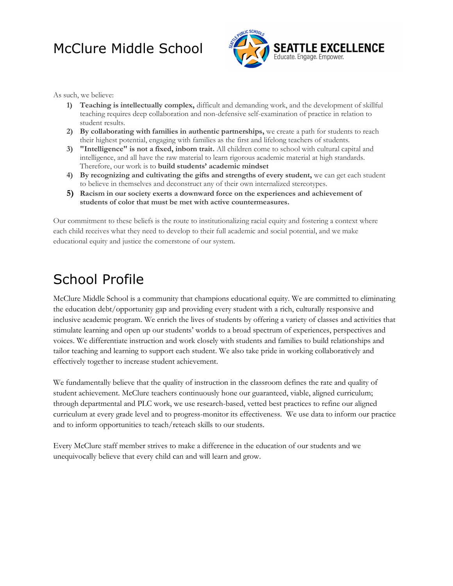

As such, we believe:

- **1) Teaching is intellectually complex,** difficult and demanding work, and the development of skillful teaching requires deep collaboration and non-defensive self-examination of practice in relation to student results.
- **2) By collaborating with families in authentic partnerships,** we create a path for students to reach their highest potential, engaging with families as the first and lifelong teachers of students.
- **3) "Intelligence" is not a fixed, inborn trait.** All children come to school with cultural capital and intelligence, and all have the raw material to learn rigorous academic material at high standards. Therefore, our work is to **build students' academic mindset**
- **4) By recognizing and cultivating the gifts and strengths of every student,** we can get each student to believe in themselves and deconstruct any of their own internalized stereotypes.
- **5) Racism in our society exerts a downward force on the experiences and achievement of students of color that must be met with active countermeasures.**

Our commitment to these beliefs is the route to institutionalizing racial equity and fostering a context where each child receives what they need to develop to their full academic and social potential, and we make educational equity and justice the cornerstone of our system.

## School Profile

McClure Middle School is a community that champions educational equity. We are committed to eliminating the education debt/opportunity gap and providing every student with a rich, culturally responsive and inclusive academic program. We enrich the lives of students by offering a variety of classes and activities that stimulate learning and open up our students' worlds to a broad spectrum of experiences, perspectives and voices. We differentiate instruction and work closely with students and families to build relationships and tailor teaching and learning to support each student. We also take pride in working collaboratively and effectively together to increase student achievement.

We fundamentally believe that the quality of instruction in the classroom defines the rate and quality of student achievement. McClure teachers continuously hone our guaranteed, viable, aligned curriculum; through departmental and PLC work, we use research-based, vetted best practices to refine our aligned curriculum at every grade level and to progress-monitor its effectiveness. We use data to inform our practice and to inform opportunities to teach/reteach skills to our students.

Every McClure staff member strives to make a difference in the education of our students and we unequivocally believe that every child can and will learn and grow.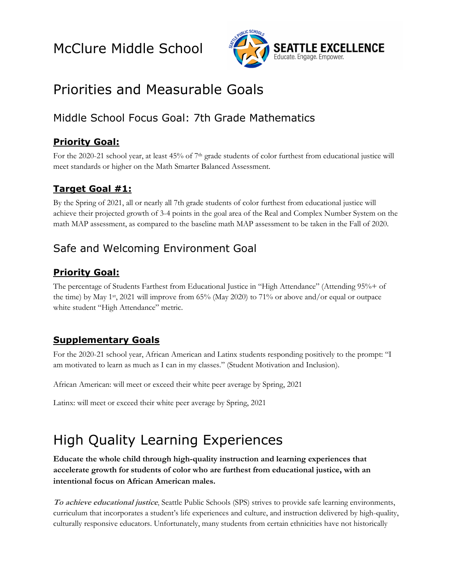

# Priorities and Measurable Goals

### Middle School Focus Goal: 7th Grade Mathematics

#### **Priority Goal:**

For the 2020-21 school year, at least 45% of 7<sup>th</sup> grade students of color furthest from educational justice will meet standards or higher on the Math Smarter Balanced Assessment.

#### **Target Goal #1:**

By the Spring of 2021, all or nearly all 7th grade students of color furthest from educational justice will achieve their projected growth of 3-4 points in the goal area of the Real and Complex Number System on the math MAP assessment, as compared to the baseline math MAP assessment to be taken in the Fall of 2020.

#### Safe and Welcoming Environment Goal

#### **Priority Goal:**

The percentage of Students Farthest from Educational Justice in "High Attendance" (Attending 95%+ of the time) by May 1st, 2021 will improve from 65% (May 2020) to 71% or above and/or equal or outpace white student "High Attendance" metric.

#### **Supplementary Goals**

For the 2020-21 school year, African American and Latinx students responding positively to the prompt: "I am motivated to learn as much as I can in my classes." (Student Motivation and Inclusion).

African American: will meet or exceed their white peer average by Spring, 2021

Latinx: will meet or exceed their white peer average by Spring, 2021

# High Quality Learning Experiences

**Educate the whole child through high-quality instruction and learning experiences that accelerate growth for students of color who are furthest from educational justice, with an intentional focus on African American males.** 

**To achieve educational justice**, Seattle Public Schools (SPS) strives to provide safe learning environments, curriculum that incorporates a student's life experiences and culture, and instruction delivered by high-quality, culturally responsive educators. Unfortunately, many students from certain ethnicities have not historically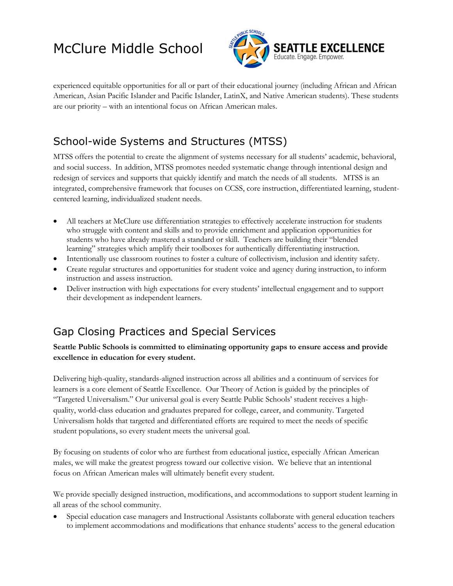

experienced equitable opportunities for all or part of their educational journey (including African and African American, Asian Pacific Islander and Pacific Islander, LatinX, and Native American students). These students are our priority – with an intentional focus on African American males.

### School-wide Systems and Structures (MTSS)

MTSS offers the potential to create the alignment of systems necessary for all students' academic, behavioral, and social success. In addition, MTSS promotes needed systematic change through intentional design and redesign of services and supports that quickly identify and match the needs of all students. MTSS is an integrated, comprehensive framework that focuses on CCSS, core instruction, differentiated learning, studentcentered learning, individualized student needs.

- All teachers at McClure use differentiation strategies to effectively accelerate instruction for students who struggle with content and skills and to provide enrichment and application opportunities for students who have already mastered a standard or skill. Teachers are building their "blended learning" strategies which amplify their toolboxes for authentically differentiating instruction.
- Intentionally use classroom routines to foster a culture of collectivism, inclusion and identity safety.
- Create regular structures and opportunities for student voice and agency during instruction, to inform instruction and assess instruction.
- Deliver instruction with high expectations for every students' intellectual engagement and to support their development as independent learners.

#### Gap Closing Practices and Special Services

#### **Seattle Public Schools is committed to eliminating opportunity gaps to ensure access and provide excellence in education for every student.**

Delivering high-quality, standards-aligned instruction across all abilities and a continuum of services for learners is a core element of Seattle Excellence. Our Theory of Action is guided by the principles of "Targeted Universalism." Our universal goal is every Seattle Public Schools' student receives a highquality, world-class education and graduates prepared for college, career, and community. Targeted Universalism holds that targeted and differentiated efforts are required to meet the needs of specific student populations, so every student meets the universal goal.

By focusing on students of color who are furthest from educational justice, especially African American males, we will make the greatest progress toward our collective vision. We believe that an intentional focus on African American males will ultimately benefit every student.

We provide specially designed instruction, modifications, and accommodations to support student learning in all areas of the school community.

• Special education case managers and Instructional Assistants collaborate with general education teachers to implement accommodations and modifications that enhance students' access to the general education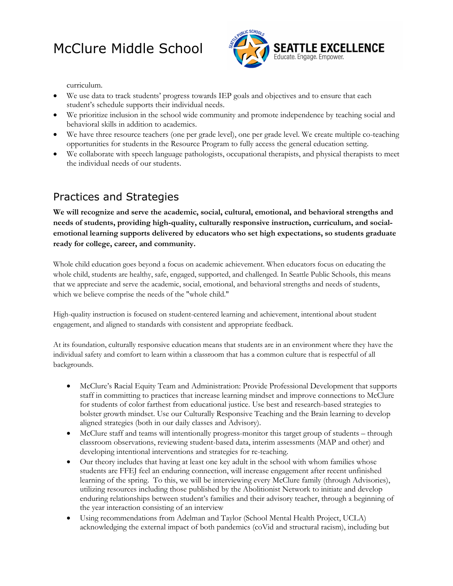

curriculum.

- We use data to track students' progress towards IEP goals and objectives and to ensure that each student's schedule supports their individual needs.
- We prioritize inclusion in the school wide community and promote independence by teaching social and behavioral skills in addition to academics.
- We have three resource teachers (one per grade level), one per grade level. We create multiple co-teaching opportunities for students in the Resource Program to fully access the general education setting.
- We collaborate with speech language pathologists, occupational therapists, and physical therapists to meet the individual needs of our students.

#### Practices and Strategies

**We will recognize and serve the academic, social, cultural, emotional, and behavioral strengths and needs of students, providing high-quality, culturally responsive instruction, curriculum, and socialemotional learning supports delivered by educators who set high expectations, so students graduate ready for college, career, and community.**

Whole child education goes beyond a focus on academic achievement. When educators focus on educating the whole child, students are healthy, safe, engaged, supported, and challenged. In Seattle Public Schools, this means that we appreciate and serve the academic, social, emotional, and behavioral strengths and needs of students, which we believe comprise the needs of the "whole child."

High-quality instruction is focused on student-centered learning and achievement, intentional about student engagement, and aligned to standards with consistent and appropriate feedback.

At its foundation, culturally responsive education means that students are in an environment where they have the individual safety and comfort to learn within a classroom that has a common culture that is respectful of all backgrounds.

- McClure's Racial Equity Team and Administration: Provide Professional Development that supports staff in committing to practices that increase learning mindset and improve connections to McClure for students of color farthest from educational justice. Use best and research-based strategies to bolster growth mindset. Use our Culturally Responsive Teaching and the Brain learning to develop aligned strategies (both in our daily classes and Advisory).
- McClure staff and teams will intentionally progress-monitor this target group of students through classroom observations, reviewing student-based data, interim assessments (MAP and other) and developing intentional interventions and strategies for re-teaching.
- Our theory includes that having at least one key adult in the school with whom families whose students are FFEJ feel an enduring connection, will increase engagement after recent unfinished learning of the spring. To this, we will be interviewing every McClure family (through Advisories), utilizing resources including those published by the Abolitionist Network to initiate and develop enduring relationships between student's families and their advisory teacher, through a beginning of the year interaction consisting of an interview
- Using recommendations from Adelman and Taylor (School Mental Health Project, UCLA) acknowledging the external impact of both pandemics (coVid and structural racism), including but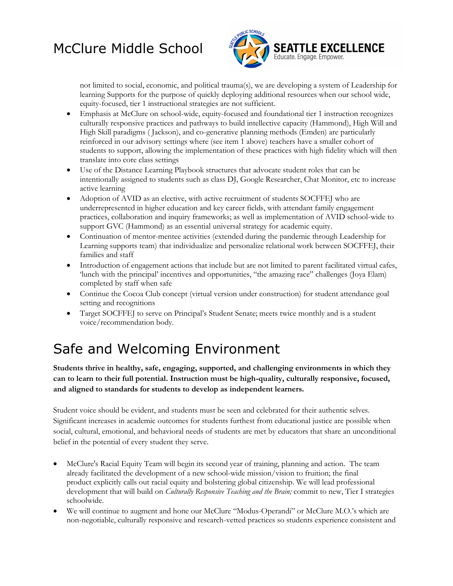

not limited to social, economic, and political trauma(s), we are developing a system of Leadership for learning Supports for the purpose of quickly deploying additional resources when our school wide, equity-focused, tier 1 instructional strategies are not sufficient.

- Emphasis at McClure on school-wide, equity-focused and foundational tier 1 instruction recognizes culturally responsive practices and pathways to build intellective capacity (Hammond), High Will and High Skill paradigms ( Jackson), and co-generative planning methods (Emden) are particularly reinforced in our advisory settings where (see item 1 above) teachers have a smaller cohort of students to support, allowing the implementation of these practices with high fidelity which will then translate into core class settings
- Use of the Distance Learning Playbook structures that advocate student roles that can be intentionally assigned to students such as class DJ, Google Researcher, Chat Monitor, etc to increase active learning
- Adoption of AVID as an elective, with active recruitment of students SOCFFEJ who are underrepresented in higher education and key career fields, with attendant family engagement practices, collaboration and inquiry frameworks; as well as implementation of AVID school-wide to support GVC (Hammond) as an essential universal strategy for academic equity.
- Continuation of mentor-mentee activities (extended during the pandemic through Leadership for Learning supports team) that individualize and personalize relational work between SOCFFEJ, their families and staff
- Introduction of engagement actions that include but are not limited to parent facilitated virtual cafes, 'lunch with the principal' incentives and opportunities, "the amazing race" challenges (Joya Elam) completed by staff when safe
- Continue the Cocoa Club concept (virtual version under construction) for student attendance goal setting and recognitions
- Target SOCFFEJ to serve on Principal's Student Senate; meets twice monthly and is a student voice/recommendation body.

# Safe and Welcoming Environment

**Students thrive in healthy, safe, engaging, supported, and challenging environments in which they can to learn to their full potential. Instruction must be high-quality, culturally responsive, focused, and aligned to standards for students to develop as independent learners.**

Student voice should be evident, and students must be seen and celebrated for their authentic selves. Significant increases in academic outcomes for students furthest from educational justice are possible when social, cultural, emotional, and behavioral needs of students are met by educators that share an unconditional belief in the potential of every student they serve.

- McClure's Racial Equity Team will begin its second year of training, planning and action. The team already facilitated the development of a new school-wide mission/vision to fruition; the final product explicitly calls out racial equity and bolstering global citizenship. We will lead professional development that will build on *Culturally Responsive Teaching and the Brain;* commit to new, Tier I strategies schoolwide.
- We will continue to augment and hone our McClure "Modus-Operandi" or McClure M.O.'s which are non-negotiable, culturally responsive and research-vetted practices so students experience consistent and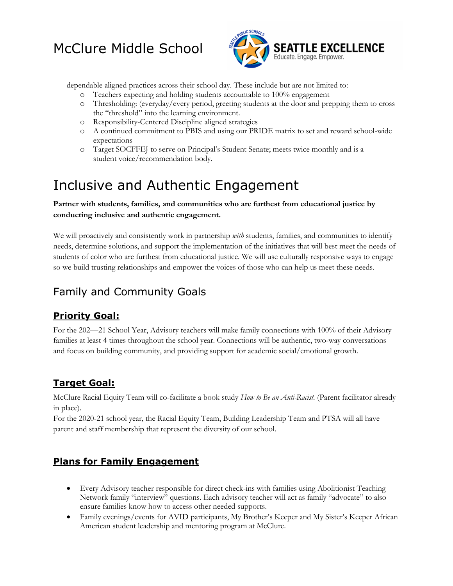

dependable aligned practices across their school day. These include but are not limited to:

- o Teachers expecting and holding students accountable to 100% engagement
- o Thresholding: (everyday/every period, greeting students at the door and prepping them to cross the "threshold" into the learning environment.
- o Responsibility-Centered Discipline aligned strategies
- o A continued commitment to PBIS and using our PRIDE matrix to set and reward school-wide expectations
- o Target SOCFFEJ to serve on Principal's Student Senate; meets twice monthly and is a student voice/recommendation body.

# Inclusive and Authentic Engagement

#### **Partner with students, families, and communities who are furthest from educational justice by conducting inclusive and authentic engagement.**

We will proactively and consistently work in partnership *with* students, families, and communities to identify needs, determine solutions, and support the implementation of the initiatives that will best meet the needs of students of color who are furthest from educational justice. We will use culturally responsive ways to engage so we build trusting relationships and empower the voices of those who can help us meet these needs.

### Family and Community Goals

#### **Priority Goal:**

For the 202—21 School Year, Advisory teachers will make family connections with 100% of their Advisory families at least 4 times throughout the school year. Connections will be authentic, two-way conversations and focus on building community, and providing support for academic social/emotional growth.

#### **Target Goal:**

McClure Racial Equity Team will co-facilitate a book study *How to Be an Anti-Racist.* (Parent facilitator already in place).

For the 2020-21 school year, the Racial Equity Team, Building Leadership Team and PTSA will all have parent and staff membership that represent the diversity of our school.

#### **Plans for Family Engagement**

- Every Advisory teacher responsible for direct check-ins with families using Abolitionist Teaching Network family "interview" questions. Each advisory teacher will act as family "advocate" to also ensure families know how to access other needed supports.
- Family evenings/events for AVID participants, My Brother's Keeper and My Sister's Keeper African American student leadership and mentoring program at McClure.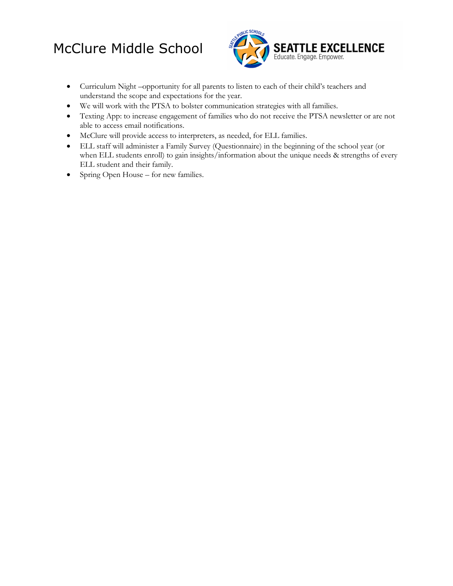

- Curriculum Night –opportunity for all parents to listen to each of their child's teachers and understand the scope and expectations for the year.
- We will work with the PTSA to bolster communication strategies with all families.
- Texting App: to increase engagement of families who do not receive the PTSA newsletter or are not able to access email notifications.
- McClure will provide access to interpreters, as needed, for ELL families.
- ELL staff will administer a Family Survey (Questionnaire) in the beginning of the school year (or when ELL students enroll) to gain insights/information about the unique needs & strengths of every ELL student and their family.
- Spring Open House for new families.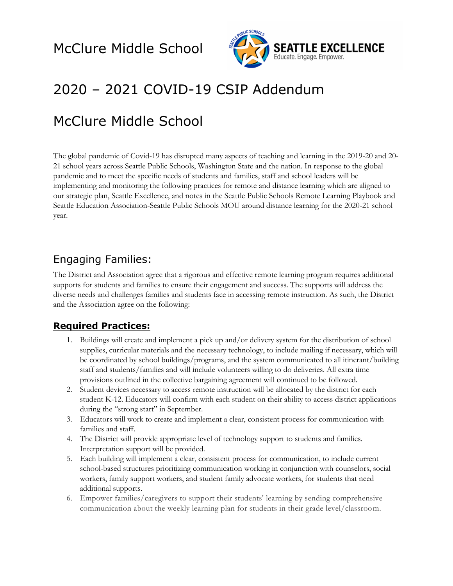

# 2020 – 2021 COVID-19 CSIP Addendum

# McClure Middle School

The global pandemic of Covid-19 has disrupted many aspects of teaching and learning in the 2019-20 and 20- 21 school years across Seattle Public Schools, Washington State and the nation. In response to the global pandemic and to meet the specific needs of students and families, staff and school leaders will be implementing and monitoring the following practices for remote and distance learning which are aligned to our strategic plan, Seattle Excellence, and notes in the Seattle Public Schools Remote Learning Playbook and Seattle Education Association-Seattle Public Schools MOU around distance learning for the 2020-21 school year.

#### Engaging Families:

The District and Association agree that a rigorous and effective remote learning program requires additional supports for students and families to ensure their engagement and success. The supports will address the diverse needs and challenges families and students face in accessing remote instruction. As such, the District and the Association agree on the following:

#### **Required Practices:**

- 1. Buildings will create and implement a pick up and/or delivery system for the distribution of school supplies, curricular materials and the necessary technology, to include mailing if necessary, which will be coordinated by school buildings/programs, and the system communicated to all itinerant/building staff and students/families and will include volunteers willing to do deliveries. All extra time provisions outlined in the collective bargaining agreement will continued to be followed.
- 2. Student devices necessary to access remote instruction will be allocated by the district for each student K-12. Educators will confirm with each student on their ability to access district applications during the "strong start" in September.
- 3. Educators will work to create and implement a clear, consistent process for communication with families and staff.
- 4. The District will provide appropriate level of technology support to students and families. Interpretation support will be provided.
- 5. Each building will implement a clear, consistent process for communication, to include current school-based structures prioritizing communication working in conjunction with counselors, social workers, family support workers, and student family advocate workers, for students that need additional supports.
- 6. Empower families/caregivers to support their students' learning by sending comprehensive communication about the weekly learning plan for students in their grade level/classroom.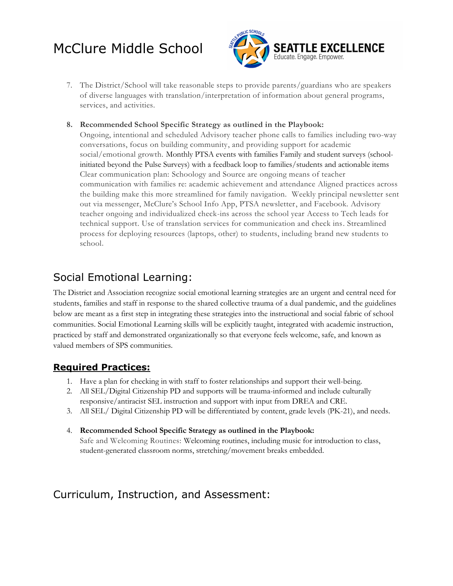

- 7. The District/School will take reasonable steps to provide parents/guardians who are speakers of diverse languages with translation/interpretation of information about general programs, services, and activities.
- **8. Recommended School Specific Strategy as outlined in the Playbook:**

Ongoing, intentional and scheduled Advisory teacher phone calls to families including two-way conversations, focus on building community, and providing support for academic social/emotional growth. Monthly PTSA events with families Family and student surveys (schoolinitiated beyond the Pulse Surveys) with a feedback loop to families/students and actionable items Clear communication plan: Schoology and Source are ongoing means of teacher communication with families re: academic achievement and attendance Aligned practices across the building make this more streamlined for family navigation. Weekly principal newsletter sent out via messenger, McClure's School Info App, PTSA newsletter, and Facebook. Advisory teacher ongoing and individualized check-ins across the school year Access to Tech leads for technical support. Use of translation services for communication and check ins. Streamlined process for deploying resources (laptops, other) to students, including brand new students to school**.**

#### Social Emotional Learning:

The District and Association recognize social emotional learning strategies are an urgent and central need for students, families and staff in response to the shared collective trauma of a dual pandemic, and the guidelines below are meant as a first step in integrating these strategies into the instructional and social fabric of school communities. Social Emotional Learning skills will be explicitly taught, integrated with academic instruction, practiced by staff and demonstrated organizationally so that everyone feels welcome, safe, and known as valued members of SPS communities.

#### **Required Practices:**

- 1. Have a plan for checking in with staff to foster relationships and support their well-being.
- 2. All SEL/Digital Citizenship PD and supports will be trauma-informed and include culturally responsive/antiracist SEL instruction and support with input from DREA and CRE.
- 3. All SEL/ Digital Citizenship PD will be differentiated by content, grade levels (PK-21), and needs.
- 4. **Recommended School Specific Strategy as outlined in the Playbook:** Safe and Welcoming Routines: Welcoming routines, including music for introduction to class, student-generated classroom norms, stretching/movement breaks embedded.

#### Curriculum, Instruction, and Assessment: